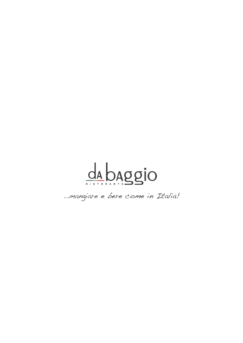

...mangiare e bere come in Italia!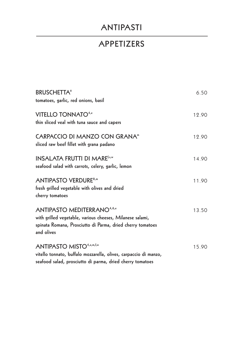# **ANTIPASTI**

#### **APPETIZERS**

| <b>BRUSCHETTA®</b><br>tomatoes, garlic, red onions, basil                                                                                                                  | 6.50  |
|----------------------------------------------------------------------------------------------------------------------------------------------------------------------------|-------|
| VITELLO TONNATO <sup>4,e</sup><br>thin sliced veal with tuna sauce and capers                                                                                              | 12.90 |
| <b>CARPACCIO DI MANZO CON GRANA"</b><br>sliced raw beef fillet with grana padano                                                                                           | 12.90 |
| <b>INSALATA FRUTTI DI MAREf.s.w</b><br>seafood salad with carrots, celery, garlic, lemon                                                                                   | 14.90 |
| <b>ANTIPASTO VERDURE<sup>8,m</sup></b><br>fresh grilled vegetable with olives and dried<br>cherry tomatoes                                                                 | 11.90 |
| <b>ANTIPASTO MEDITERRANO4,6,e</b><br>with grilled vegetable, various cheeses, Milanese salami,<br>spinata Romana, Prosciutto di Parma, dried cherry tomatoes<br>and olives | 13.50 |
| ANTIPASTO MISTO <sup>4,e,m,f,w</sup><br>vitello tonnato, buffalo mozzarella, olives, carpaccio di manzo,<br>seafood salad, prosciutto di parma, dried cherry tomatoes      | 15.90 |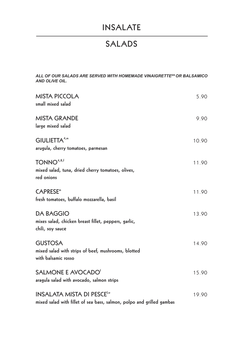### **INSALATE**

#### **SALADS**

*ALL OF OUR SALADS ARE SERVED WITH HOMEMADE VINAIGRETTESN OR BALSAMICO AND OLIVE OIL.*

| <b>MISTA PICCOLA</b><br>small mixed salad                                                                             | 5.90  |
|-----------------------------------------------------------------------------------------------------------------------|-------|
| <b>MISTA GRANDE</b><br>large mixed salad                                                                              | 9.90  |
| GIULIETTA <sup>4,m</sup><br>arugula, cherry tomatoes, parmesan                                                        | 10.90 |
| $TONNO^{4,8,1}$<br>mixed salad, tuna, dried cherry tomatoes, olives,<br>red onions                                    | 11.90 |
| <b>CAPRESE</b> <sup>m</sup><br>fresh tomatoes, buffalo mozzarella, basil                                              | 11.90 |
| <b>DA BAGGIO</b><br>mixes salad, chicken breast fillet, peppers, garlic,<br>chili, soy sauce                          | 13.90 |
| <b>GUSTOSA</b><br>mixed salad with strips of beef, mushrooms, blotted<br>with balsamic rosso                          | 14.90 |
| SALMONE E AVOCADO <sup>®</sup><br>aragula salad with avocado, salmon strips                                           | 15.90 |
| <b>INSALATA MISTA DI PESCE<sup>f,w</sup></b><br>mixed salad with fillet of sea bass, salmon, polpo and grilled gambas | 19.90 |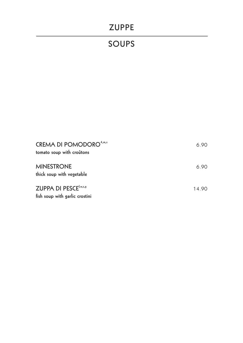### **ZUPPE**

# **SOUPS**

| <b>CREMA DI POMODORO</b> <sup>4,m,s</sup><br>tomato soup with croûtons     | 6.90  |
|----------------------------------------------------------------------------|-------|
| <b>MINESTRONE</b><br>thick soup with vegetable                             | 6.90  |
| <b>ZUPPA DI PESCE</b> <sup>f,w,s,g</sup><br>fish soup with garlic crostini | 14.90 |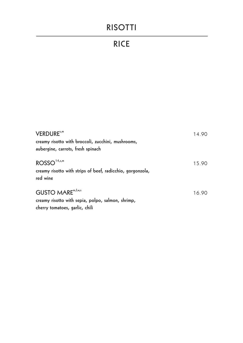# **RISOTTI**

# **RICE**

| <b>VERDURE</b> <sup>5,m</sup><br>creamy risotto with broccoli, zucchini, mushrooms,<br>aubergine, carrots, fresh spinach       | 14.90 |
|--------------------------------------------------------------------------------------------------------------------------------|-------|
| ROSSO <sup>14,s,m</sup><br>creamy risotto with strips of beef, radicchio, gorgonzola,<br>red wine                              | 15.90 |
| <b>GUSTO MARE</b> <sup>m, f, w, s</sup><br>creamy risotto with sepia, polpo, salmon, shrimp,<br>cherry tomatoes, garlic, chili | 16.90 |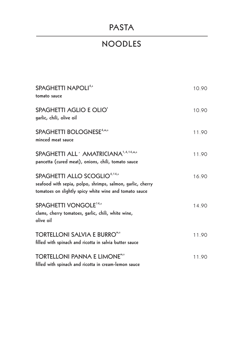# **PASTA**

# **NOODLES**

| <b>SPAGHETTI NAPOLI4,5</b><br>tomato sauce                                                                                                                       | 10.90 |
|------------------------------------------------------------------------------------------------------------------------------------------------------------------|-------|
| <b>SPAGHETTI AGLIO E OLIO'</b><br>garlic, chili, olive oil                                                                                                       | 10.90 |
| SPAGHETTI BOLOGNESE <sup>4,m,s</sup><br>minced meat sauce                                                                                                        | 11.90 |
| SPAGHETTI ALL <sup>'</sup> AMATRICIANA <sup>1,4,14,m,s</sup><br>pancetta (cured meat), onions, chili, tomato sauce                                               | 11.90 |
| SPAGHETTI ALLO SCOGLIO <sup>4,14,s</sup><br>seafood with sepia, polpo, shrimps, salmon, garlic, cherry<br>tomatoes on slightly spicy white wine and tomato sauce | 16.90 |
| SPAGHETTI VONGOLE <sup>14,s</sup><br>clams, cherry tomatoes, garlic, chili, white wine,<br>olive oil                                                             | 14.90 |
| <b>TORTELLONI SALVIA E BURRO<sup>m,s</sup></b><br>filled with spinach and ricotta in salvia butter sauce                                                         | 11.90 |
| TORTELLONI PANNA E LIMONE"" <sup>s</sup><br>filled with spinach and ricotta in cream-lemon sauce                                                                 | 11.90 |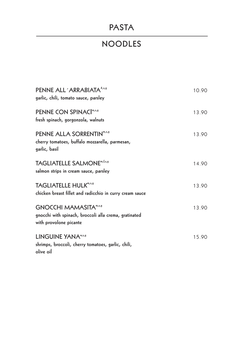# **PASTA**

# **NOODLES**

| PENNE ALL 'ARRABIATA <sup>4,5,5</sup><br>garlic, chili, tomato sauce, parsley                                              | 10.90 |
|----------------------------------------------------------------------------------------------------------------------------|-------|
| PENNE CON SPINACI <sup>m,s,g</sup><br>fresh spinach, gorgonzola, walnuts                                                   | 13.90 |
| PENNE ALLA SORRENTIN <sup>m,s,g</sup><br>cherry tomatoes, buffalo mozzarella, parmesan,<br>garlic, basil                   | 13.90 |
| <b>TAGLIATELLE SALMONE</b> <sup>m,f,s,g</sup><br>salmon strips in cream sauce, parsley                                     | 14.90 |
| <b>TAGLIATELLE HULK<sup>m,s,g</sup></b><br>chicken breast fillet and radicchio in curry cream sauce                        | 13.90 |
| <b>GNOCCHI MAMASITA<sup>m,s,g</sup></b><br>gnocchi with spinach, broccoli alla crema, gratinated<br>with provolone picante | 13.90 |
| LINGUINE YANA <sup>WS,S</sup><br>shrimps, broccoli, cherry tomatoes, garlic, chili,<br>olive oil                           | 15.90 |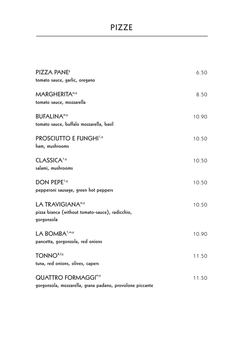#### **PIZZE**

| <b>PIZZA PANE<sup>s</sup></b><br>tomato sauce, garlic, oregano                                    | 6.50  |
|---------------------------------------------------------------------------------------------------|-------|
| <b>MARGHERITA<sup>m/9</sup></b><br>tomato sauce, mozzarella                                       | 8.50  |
| <b>BUFALINA<sup>m/9</sup></b><br>tomato sauce, buffalo mozzarella, basil                          | 10.90 |
| <b>PROSCIUTTO E FUNGHI1,5</b><br>ham, mushrooms                                                   | 10.50 |
| CLASSICA <sup>1,9</sup><br>salami, mushrooms                                                      | 10.50 |
| <b>DON PEPE<sup>1,9</sup></b><br>pepperoni sausage, green hot peppers                             | 10.50 |
| LA TRAVIGIANA <sup>m/s</sup><br>pizza bianca (without tomato-sauce), radicchio,<br>gorgonzola     | 10.50 |
| LA BOMBA <sup>1,m,s</sup><br>pancetta, gorgonzola, red onions                                     | 10.90 |
| TONNO <sup>8,f,g</sup><br>tuna, red onions, olives, capers                                        | 11.50 |
| <b>QUATTRO FORMAGGI<sup>m/9</sup></b><br>gorgonzola, mozzarella, grana padano, provolone piccante | 11.50 |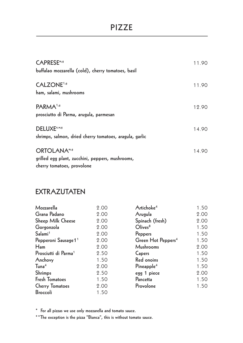### **PIZZE**

| <b>CAPRESE</b> <sup>m</sup> /s<br>buffalao mozzarella (cold), cherry tomatoes, basil                 | 11.90 |
|------------------------------------------------------------------------------------------------------|-------|
| <b>CALZONE<sup>1,9</sup></b><br>ham, salami, mushrooms                                               | 11.90 |
| PARMA <sup>1,9</sup><br>prosciutto di Parma, arugula, parmesan                                       | 12.90 |
| DELUXE <sup>e,w,s</sup><br>shrimps, salmon, dried cherry tomatoes, aragula, garlic                   | 14.90 |
| <b>ORTOLANAm/s</b><br>grilled egg plant, zucchini, peppers, mushrooms,<br>cherry tomatoes, provolone | 14.90 |

#### **EXTRAZUTATEN**

| Mozzarella                       | 2.00 | Artichoke <sup>4</sup>         | 1.50 |
|----------------------------------|------|--------------------------------|------|
| Grana Padano                     | 2.00 | Arugula                        | 2.00 |
| Sheep Milk Cheese                | 2.00 | Spinach (fresh)                | 2.00 |
| Gorgonzola                       | 2.00 | Olives <sup>8</sup>            | 1.50 |
| Salami <sup>1</sup>              | 2.00 | Peppers                        | 1.50 |
| Pepperoni Sausage 1 <sup>1</sup> | 2.00 | Green Hot Peppers <sup>4</sup> | 1.50 |
| H <sub>am</sub>                  | 2.00 | <b>Mushrooms</b>               | 2.00 |
| Prosciutti di Parma <sup>1</sup> | 2.50 | Capers                         | 1.50 |
| Anchovy                          | 1.50 | Red onoins                     | 1.50 |
| $T$ una <sup>4</sup>             | 2.00 | Pineapple <sup>4</sup>         | 1.50 |
| Shrimps                          | 2.50 | egg 1 piece                    | 2.00 |
| <b>Fresh Tomatoes</b>            | 1.50 | Pancetta                       | 1.50 |
| <b>Cherry Tomatoes</b>           | 2.00 | Provolone                      | 1.50 |
| <b>Broccoli</b>                  | 1.50 |                                |      |

**\* For all pizzas we use only mozzarella and tomato sauce.**

**\*\*The exception is the pizza "Bianca", this is without tomato sauce.**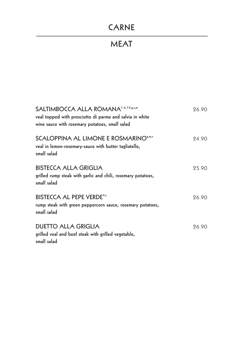# **CARNE**

# **MEAT**

| SALTIMBOCCA ALLA ROMANA <sup>1,4,14,</sup> 5,s,m<br>veal topped with prosciutto di parma and salvia in white<br>wine sauce with rosemary potatoes, small salad | 26.90 |
|----------------------------------------------------------------------------------------------------------------------------------------------------------------|-------|
| SCALOPPINA AL LIMONE E ROSMARINO <sup>5,m,s</sup><br>veal in lemon-rosemary-sauce with butter tagliatelle,<br>small salad                                      | 24.90 |
| <b>BISTECCA ALLA GRIGLIA</b><br>grilled rump steak with garlic and chili, rosemary potatoes,<br>small salad                                                    | 25.90 |
| <b>BISTECCA AL PEPE VERDE4,5</b><br>rump steak with green peppercorn sauce, rosemary potatoes,<br>small salad                                                  | 26.90 |
| <b>DUETTO ALLA GRIGLIA</b><br>grilled veal and beef steak with grilled vegetable,<br>small salad                                                               | 26.90 |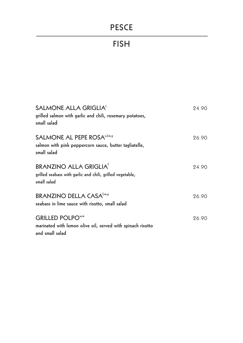# **PESCE**

### **FISH**

| SALMONE ALLA GRIGLIA <sup>6</sup><br>grilled salmon with garlic and chili, rosemary potatoes,<br>small salad         | 24.90 |
|----------------------------------------------------------------------------------------------------------------------|-------|
| SALMONE AL PEPE ROSA <sup>s, f, m, s</sup><br>salmon with pink peppercorn sauce, butter tagliatelle,<br>small salad  | 26.90 |
| <b>BRANZINO ALLA GRIGLIA<sup>f</sup></b><br>grilled seabass with garlic and chili, grilled vegetable,<br>small salad | 24.90 |
| <b>BRANZINO DELLA CASA</b> <sup>6,m,s</sup><br>seabass in lime sauce with risotto, small salad                       | 26.90 |
| <b>GRILLED POLPOWIN</b><br>marinated with lemon olive oil, served with spinach risotto<br>and small salad            | 26.90 |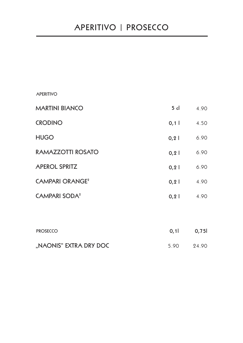#### **APERITIVO**

| <b>MARTINI BIANCO</b>             | $5$ cl | 4.90 |
|-----------------------------------|--------|------|
| <b>CRODINO</b>                    | 0,1    | 4.50 |
| <b>HUGO</b>                       | 0, 2   | 6.90 |
| RAMAZZOTTI ROSATO                 | 0, 2   | 6.90 |
| <b>APEROL SPRITZ</b>              | 0, 2   | 6.90 |
| <b>CAMPARI ORANGE<sup>2</sup></b> | 0, 2   | 4.90 |
| <b>CAMPARI SODA<sup>2</sup></b>   | 0, 2   | 4.90 |
|                                   |        |      |
|                                   |        |      |

| <b>PROSECCO</b>        | 0.1  | 0,75  |
|------------------------|------|-------|
| "NAONIS" EXTRA DRY DOC | 5.90 | 24.90 |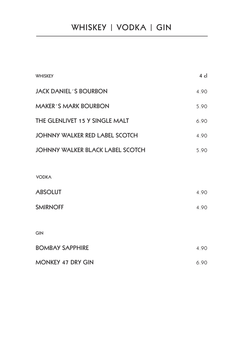| <b>WHISKEY</b>                          | $4$ cl |
|-----------------------------------------|--------|
| <b>JACK DANIEL 'S BOURBON</b>           | 4.90   |
| <b>MAKER'S MARK BOURBON</b>             | 5.90   |
| THE GLENLIVET 15 Y SINGLE MALT          | 6.90   |
| <b>JOHNNY WALKER RED LABEL SCOTCH</b>   | 4.90   |
| <b>JOHNNY WALKER BLACK LABEL SCOTCH</b> | 5.90   |
|                                         |        |
| <b>VODKA</b>                            |        |
| <b>ABSOLUT</b>                          | 4.90   |
| <b>SMIRNOFF</b>                         | 4.90   |
|                                         |        |
| <b>GIN</b>                              |        |

| <b>BOMBAY SAPPHIRE</b>   | 4.90 |
|--------------------------|------|
| <b>MONKEY 47 DRY GIN</b> | 6.90 |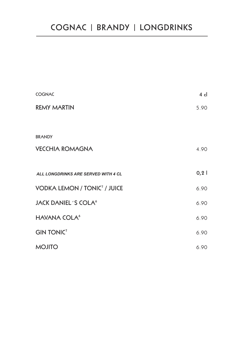| <b>COGNAC</b>                                  | $4$ cl |
|------------------------------------------------|--------|
| <b>REMY MARTIN</b>                             | 5.90   |
|                                                |        |
| <b>BRANDY</b>                                  |        |
| <b>VECCHIA ROMAGNA</b>                         | 4.90   |
|                                                |        |
| ALL LONGDRINKS ARE SERVED WITH 4 CL            | 0, 2   |
| <b>VODKA LEMON / TONIC<sup>7</sup> / JUICE</b> | 6.90   |
| <b>JACK DANIEL'S COLA<sup>6</sup></b>          | 6.90   |
| <b>HAVANA COLA<sup>6</sup></b>                 | 6.90   |
| <b>GIN TONIC</b> <sup>7</sup>                  | 6.90   |
| <b>OTILOM</b>                                  | 6.90   |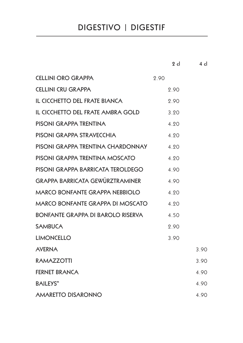# **DIGESTIVO | DIGESTIF**

|                                         | $2$ cl | $4 \,$ cl |
|-----------------------------------------|--------|-----------|
| <b>CELLINI ORO GRAPPA</b>               | 2.90   |           |
| <b>CELLINI CRU GRAPPA</b>               | 2.90   |           |
| <b>IL CICCHETTO DEL FRATE BIANCA</b>    | 2.90   |           |
| IL CICCHETTO DEL FRATE AMBRA GOLD       | 3.20   |           |
| PISONI GRAPPA TRENTINA                  | 4.20   |           |
| PISONI GRAPPA STRAVECCHIA               | 4.20   |           |
| PISONI GRAPPA TRENTINA CHARDONNAY       | 4.20   |           |
| PISONI GRAPPA TRENTINA MOSCATO          | 4.20   |           |
| PISONI GRAPPA BARRICATA TEROLDEGO       | 4.90   |           |
| <b>GRAPPA BARRICATA GEWÜRZTRAMINER</b>  | 4.90   |           |
| <b>MARCO BONFANTE GRAPPA NEBBIOLO</b>   | 4.20   |           |
| <b>MARCO BONFANTE GRAPPA DI MOSCATO</b> | 4.20   |           |
| BONFANTE GRAPPA DI BAROLO RISERVA       | 4.50   |           |
| <b>SAMBUCA</b>                          | 2.90   |           |
| <b>LIMONCELLO</b>                       | 3.90   |           |
| <b>AVERNA</b>                           |        | 3.90      |
| <b>RAMAZZOTTI</b>                       |        | 3.90      |
| <b>FERNET BRANCA</b>                    |        | 4.90      |
| <b>BAILEYS</b> <sup>m</sup>             |        | 4.90      |
| <b>AMARETTO DISARONNO</b>               |        | 4.90      |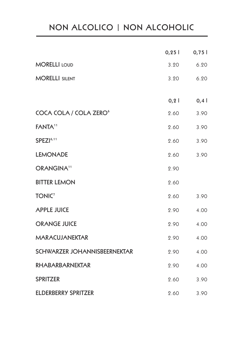# **NON ALCOLICO | NON ALCOHOLIC**

|                                    | 0,25 | 0,75 |
|------------------------------------|------|------|
| <b>MORELLI LOUD</b>                | 3.20 | 6.20 |
| <b>MORELLI SILENT</b>              | 3.20 | 6.20 |
|                                    | 0, 2 | 0,4  |
| COCA COLA / COLA ZERO <sup>6</sup> | 2.60 | 3.90 |
| <b>FANTA<sup>11</sup></b>          | 2.60 | 3.90 |
| SPEZI <sup>6,11</sup>              | 2.60 | 3.90 |
| <b>LEMONADE</b>                    | 2.60 | 3.90 |
| ORANGINA <sup>11</sup>             | 2.90 |      |
| <b>BITTER LEMON</b>                | 2.60 |      |
| <b>TONIC</b> <sup>7</sup>          | 2.60 | 3.90 |
| <b>APPLE JUICE</b>                 | 2.90 | 4.00 |
| <b>ORANGE JUICE</b>                | 2.90 | 4.00 |
| <b>MARACUJANEKTAR</b>              | 2.90 | 4.00 |
| SCHWARZER JOHANNISBEERNEKTAR       | 2.90 | 4.00 |
| <b>RHABARBARNEKTAR</b>             | 2.90 | 4.00 |
| <b>SPRITZER</b>                    | 2.60 | 3.90 |
| <b>ELDERBERRY SPRITZER</b>         | 2.60 | 3.90 |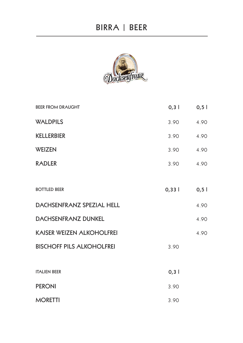

| <b>BEER FROM DRAUGHT</b>         | 0,3   | 0, 5 |
|----------------------------------|-------|------|
| <b>WALDPILS</b>                  | 3.90  | 4.90 |
| <b>KELLERBIER</b>                | 3.90  | 4.90 |
| <b>WEIZEN</b>                    | 3.90  | 4.90 |
| <b>RADLER</b>                    | 3.90  | 4.90 |
|                                  |       |      |
| <b>BOTTLED BEER</b>              | 0,331 | 0, 5 |
| DACHSENFRANZ SPEZIAL HELL        |       | 4.90 |
| <b>DACHSENFRANZ DUNKEL</b>       |       | 4.90 |
| <b>KAISER WEIZEN ALKOHOLFREI</b> |       | 4.90 |
| <b>BISCHOFF PILS ALKOHOLFREI</b> | 3.90  |      |
|                                  |       |      |
| <b>ITALIEN BEER</b>              | 0,3   |      |
| <b>PERONI</b>                    | 3.90  |      |
| <b>MORETTI</b>                   | 3.90  |      |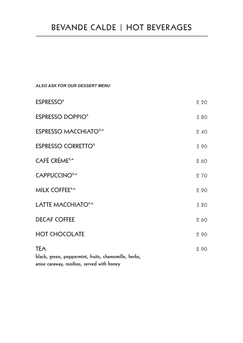# **ESPRESSO<sup>6</sup>** 2.20 **ESPRESSO DOPPIO<sup>6</sup> 3.80 ESPRESSO MACCHIATO<sup>6,m</sup>** 2.40 **ESPRESSO CORRETTO<sup>6</sup>** 3.90 **CAFÉ CRÈME6,m** 2.60 **CAPPUCCINO6,m** 2.70 **MILK COFFEE<sup>6,m</sup>** 2.90 LATTE MACCHIATO<sup>6,m</sup> 3.20 **DECAF COFFEE** 2.60 **HOT CHOCOLATE** 2.90 **TEA** 2.90 **black, green, peppermint, fruits, chamomille, herbs, anise caraway, rooibos, served with honey** *ALSO ASK FOR OUR DESSERT MENU*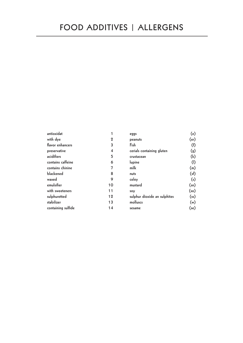| antioxidat         |             | eggs                         | (e)                |
|--------------------|-------------|------------------------------|--------------------|
| with dye           | $\mathbf 2$ | peanuts                      | (er)               |
| flavor enhancers   | 3           | Fish                         | (f)                |
| preservative       | 4           | cerials containing gluten    | $\left( 3 \right)$ |
| acidifiers         | 5           | crustacean                   | (k)                |
| contains caffeine  | 6           | lupine                       | (                  |
| contains chinine   |             | milk                         | (m)                |
| blackened          | 8           | nuts                         | (sf)               |
| waxed              | 9           | celey                        | (s)                |
| emulsifier         | 10          | mustard                      | $(\mathsf{sn})$    |
| with sweeteners    | 11          | soy                          | $({\sf so})$       |
| sulphuretted       | 12          | sulphur dioxide an sulphites | (s <sub>s</sub> )  |
| stabilizer         | 13          | molluscs                     | (w)                |
| containing sulfide | 14          | sesame                       | (se)               |
|                    |             |                              |                    |

**peanuts (er)**

**milk (m) nuts (sf) celey (s) mustard (sn) soy (so) sulphur dioxide an sulphites (ss) molluscs (w) sesame (se)**